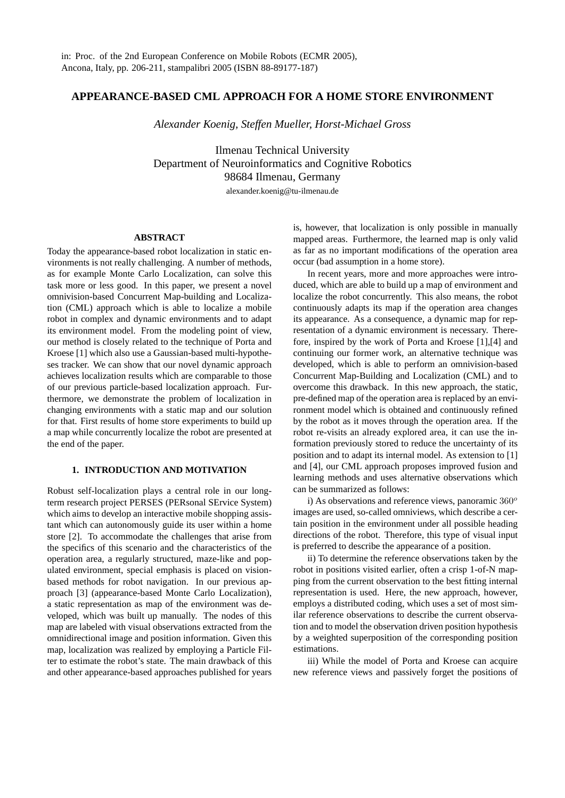# **APPEARANCE-BASED CML APPROACH FOR A HOME STORE ENVIRONMENT**

*Alexander Koenig, Steffen Mueller, Horst-Michael Gross*

Ilmenau Technical University Department of Neuroinformatics and Cognitive Robotics 98684 Ilmenau, Germany alexander.koenig@tu-ilmenau.de

## **ABSTRACT**

Today the appearance-based robot localization in static environments is not really challenging. A number of methods, as for example Monte Carlo Localization, can solve this task more or less good. In this paper, we present a novel omnivision-based Concurrent Map-building and Localization (CML) approach which is able to localize a mobile robot in complex and dynamic environments and to adapt its environment model. From the modeling point of view, our method is closely related to the technique of Porta and Kroese [1] which also use a Gaussian-based multi-hypotheses tracker. We can show that our novel dynamic approach achieves localization results which are comparable to those of our previous particle-based localization approach. Furthermore, we demonstrate the problem of localization in changing environments with a static map and our solution for that. First results of home store experiments to build up a map while concurrently localize the robot are presented at the end of the paper.

### **1. INTRODUCTION AND MOTIVATION**

Robust self-localization plays a central role in our longterm research project PERSES (PERsonal SErvice System) which aims to develop an interactive mobile shopping assistant which can autonomously guide its user within a home store [2]. To accommodate the challenges that arise from the specifics of this scenario and the characteristics of the operation area, a regularly structured, maze-like and populated environment, special emphasis is placed on visionbased methods for robot navigation. In our previous approach [3] (appearance-based Monte Carlo Localization), a static representation as map of the environment was developed, which was built up manually. The nodes of this map are labeled with visual observations extracted from the omnidirectional image and position information. Given this map, localization was realized by employing a Particle Filter to estimate the robot's state. The main drawback of this and other appearance-based approaches published for years is, however, that localization is only possible in manually mapped areas. Furthermore, the learned map is only valid as far as no important modifications of the operation area occur (bad assumption in a home store).

In recent years, more and more approaches were introduced, which are able to build up a map of environment and localize the robot concurrently. This also means, the robot continuously adapts its map if the operation area changes its appearance. As a consequence, a dynamic map for representation of a dynamic environment is necessary. Therefore, inspired by the work of Porta and Kroese [1],[4] and continuing our former work, an alternative technique was developed, which is able to perform an omnivision-based Concurrent Map-Building and Localization (CML) and to overcome this drawback. In this new approach, the static, pre-defined map of the operation area is replaced by an environment model which is obtained and continuously refined by the robot as it moves through the operation area. If the robot re-visits an already explored area, it can use the information previously stored to reduce the uncertainty of its position and to adapt its internal model. As extension to [1] and [4], our CML approach proposes improved fusion and learning methods and uses alternative observations which can be summarized as follows:

i) As observations and reference views, panoramic  $360^{\circ}$ images are used, so-called omniviews, which describe a certain position in the environment under all possible heading directions of the robot. Therefore, this type of visual input is preferred to describe the appearance of a position.

ii) To determine the reference observations taken by the robot in positions visited earlier, often a crisp 1-of-N mapping from the current observation to the best fitting internal representation is used. Here, the new approach, however, employs a distributed coding, which uses a set of most similar reference observations to describe the current observation and to model the observation driven position hypothesis by a weighted superposition of the corresponding position estimations.

iii) While the model of Porta and Kroese can acquire new reference views and passively forget the positions of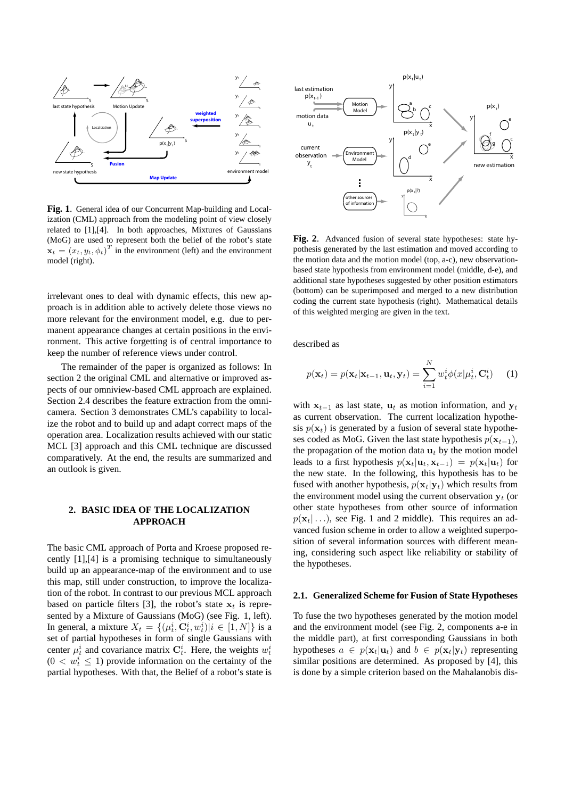

**Fig. 1**. General idea of our Concurrent Map-building and Localization (CML) approach from the modeling point of view closely related to [1],[4]. In both approaches, Mixtures of Gaussians (MoG) are used to represent both the belief of the robot's state  $\mathbf{x}_t = (x_t, y_t, \phi_t)^T$  in the environment (left) and the environment model (right).

irrelevant ones to deal with dynamic effects, this new approach is in addition able to actively delete those views no more relevant for the environment model, e.g. due to permanent appearance changes at certain positions in the environment. This active forgetting is of central importance to keep the number of reference views under control.

The remainder of the paper is organized as follows: In section 2 the original CML and alternative or improved aspects of our omniview-based CML approach are explained. Section 2.4 describes the feature extraction from the omnicamera. Section 3 demonstrates CML's capability to localize the robot and to build up and adapt correct maps of the operation area. Localization results achieved with our static MCL [3] approach and this CML technique are discussed comparatively. At the end, the results are summarized and an outlook is given.

## **2. BASIC IDEA OF THE LOCALIZATION APPROACH**

The basic CML approach of Porta and Kroese proposed recently [1],[4] is a promising technique to simultaneously build up an appearance-map of the environment and to use this map, still under construction, to improve the localization of the robot. In contrast to our previous MCL approach based on particle filters [3], the robot's state  $x_t$  is represented by a Mixture of Gaussians (MoG) (see Fig. 1, left). In general, a mixture  $X_t = \{(\mu_t^i, \mathbf{C}_t^i, w_t^i)|i \in [1, N]\}$  is a set of partial hypotheses in form of single Gaussians with center  $\mu_t^i$  and covariance matrix  $\mathbf{C}_t^i$ . Here, the weights  $w_t^i$  $(0 < w_t^i \leq 1)$  provide information on the certainty of the partial hypotheses. With that, the Belief of a robot's state is



**Fig. 2**. Advanced fusion of several state hypotheses: state hypothesis generated by the last estimation and moved according to the motion data and the motion model (top, a-c), new observationbased state hypothesis from environment model (middle, d-e), and additional state hypotheses suggested by other position estimators (bottom) can be superimposed and merged to a new distribution coding the current state hypothesis (right). Mathematical details of this weighted merging are given in the text.

described as

$$
p(\mathbf{x}_t) = p(\mathbf{x}_t | \mathbf{x}_{t-1}, \mathbf{u}_t, \mathbf{y}_t) = \sum_{i=1}^N w_t^i \phi(x | \mu_t^i, \mathbf{C}_t^i)
$$
 (1)

with  $x_{t-1}$  as last state,  $u_t$  as motion information, and  $y_t$ as current observation. The current localization hypothesis  $p(\mathbf{x}_t)$  is generated by a fusion of several state hypotheses coded as MoG. Given the last state hypothesis  $p(\mathbf{x}_{t-1})$ , the propagation of the motion data  $\mathbf{u}_t$  by the motion model leads to a first hypothesis  $p(\mathbf{x}_t|\mathbf{u}_t, \mathbf{x}_{t-1}) = p(\mathbf{x}_t|\mathbf{u}_t)$  for the new state. In the following, this hypothesis has to be fused with another hypothesis,  $p(\mathbf{x}_t|\mathbf{y}_t)$  which results from the environment model using the current observation  $y_t$  (or other state hypotheses from other source of information  $p(\mathbf{x}_t | \dots)$ , see Fig. 1 and 2 middle). This requires an advanced fusion scheme in order to allow a weighted superposition of several information sources with different meaning, considering such aspect like reliability or stability of the hypotheses.

#### **2.1. Generalized Scheme for Fusion of State Hypotheses**

To fuse the two hypotheses generated by the motion model and the environment model (see Fig. 2, components a-e in the middle part), at first corresponding Gaussians in both hypotheses  $a \in p(\mathbf{x}_t | \mathbf{u}_t)$  and  $b \in p(\mathbf{x}_t | \mathbf{y}_t)$  representing similar positions are determined. As proposed by [4], this is done by a simple criterion based on the Mahalanobis dis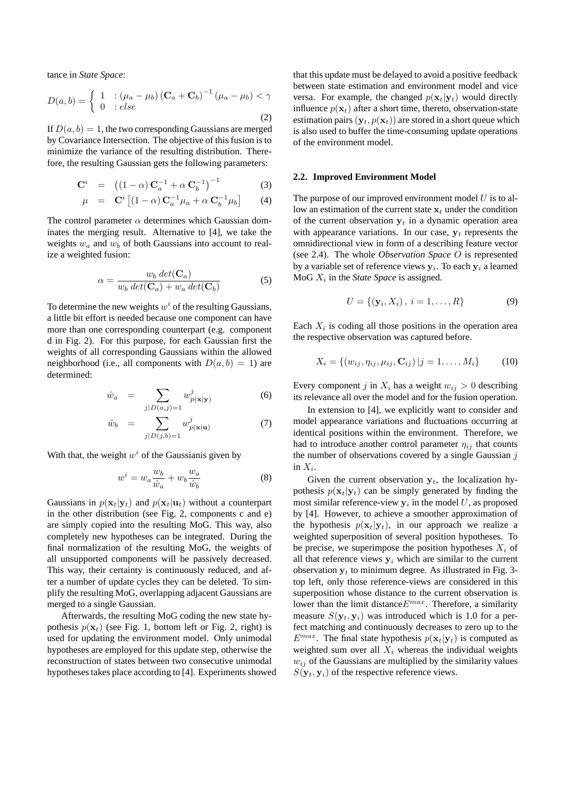tance in *State Space*:

$$
D(a,b) = \begin{cases} 1 & \text{: } (\mu_a - \mu_b) \left( \mathbf{C}_a + \mathbf{C}_b \right)^{-1} (\mu_a - \mu_b) < \gamma \\ 0 & \text{: } else \end{cases} \tag{2}
$$

If  $D(a, b) = 1$ , the two corresponding Gaussians are merged by Covariance Intersection. The objective of this fusion is to minimize the variance of the resulting distribution. Therefore, the resulting Gaussian gets the following parameters:

$$
\mathbf{C}^{i} = ((1 - \alpha) \mathbf{C}_{a}^{-1} + \alpha \mathbf{C}_{b}^{-1})^{-1}
$$
 (3)

$$
\mu = \mathbf{C}^i \left[ (1 - \alpha) \mathbf{C}_a^{-1} \mu_a + \alpha \mathbf{C}_b^{-1} \mu_b \right] \tag{4}
$$

The control parameter  $\alpha$  determines which Gaussian dominates the merging result. Alternative to [4], we take the weights  $w_a$  and  $w_b$  of both Gaussians into account to realize a weighted fusion:

$$
\alpha = \frac{w_b \, det(\mathbf{C}_a)}{w_b \, det(\mathbf{C}_a) + w_a \, det(\mathbf{C}_b)}
$$
(5)

To determine the new weights  $w^i$  of the resulting Gaussians, a little bit effort is needed because one component can have more than one corresponding counterpart (e.g. component d in Fig. 2). For this purpose, for each Gaussian first the weights of all corresponding Gaussians within the allowed neighborhood (i.e., all components with  $D(a, b) = 1$ ) are determined:

$$
\hat{w}_a = \sum_{j|D(a,j)=1} w_{p(\mathbf{x}|\mathbf{y})}^j \tag{6}
$$

$$
\hat{w}_b = \sum_{j|D(j,b)=1} w_{p(\mathbf{x}|\mathbf{u})}^j \tag{7}
$$

With that, the weight  $w^i$  of the Gaussianis given by

$$
w^{i} = w_{a} \frac{w_{b}}{\hat{w}_{a}} + w_{b} \frac{w_{a}}{\hat{w}_{b}}
$$
 (8)

Gaussians in  $p(\mathbf{x}_t|\mathbf{y}_t)$  and  $p(\mathbf{x}_t|\mathbf{u}_t)$  without a counterpart in the other distribution (see Fig. 2, components c and e) are simply copied into the resulting MoG. This way, also completely new hypotheses can be integrated. During the final normalization of the resulting MoG, the weights of all unsupported components will be passively decreased. This way, their certainty is continuously reduced, and after a number of update cycles they can be deleted. To simplify the resulting MoG, overlapping adjacent Gaussians are merged to a single Gaussian.

Afterwards, the resulting MoG coding the new state hypothesis  $p(\mathbf{x}_t)$  (see Fig. 1, bottom left or Fig. 2, right) is used for updating the environment model. Only unimodal hypotheses are employed for this update step, otherwise the reconstruction of states between two consecutive unimodal hypotheses takes place according to [4]. Experiments showed

that this update must be delayed to avoid a positive feedback between state estimation and environment model and vice versa. For example, the changed  $p(\mathbf{x}_t|\mathbf{y}_t)$  would directly influence  $p(\mathbf{x}_t)$  after a short time, thereto, observation-state estimation pairs  $(\mathbf{y}_t, p(\mathbf{x}_t))$  are stored in a short queue which is also used to buffer the time-consuming update operations of the environment model.

#### **2.2. Improved Environment Model**

The purpose of our improved environment model  $U$  is to allow an estimation of the current state  $x_t$  under the condition of the current observation  $y_t$  in a dynamic operation area with appearance variations. In our case,  $y_t$  represents the omnidirectional view in form of a describing feature vector (see 2.4). The whole *Observation Space* O is represented by a variable set of reference views  $y_i$ . To each  $y_i$  a learned  $Mod X_i$  in the *State Space* is assigned.

$$
U = \{ (\mathbf{y}_i, X_i), \ i = 1, \dots, R \}
$$
 (9)

Each  $X_i$  is coding all those positions in the operation area the respective observation was captured before.

$$
X_i = \{(w_{ij}, \eta_{ij}, \mu_{ij}, \mathbf{C}_{ij}) | j = 1, ..., M_i\}
$$
 (10)

Every component j in  $X_i$  has a weight  $w_{ij} > 0$  describing its relevance all over the model and for the fusion operation.

In extension to [4], we explicitly want to consider and model appearance variations and fluctuations occurring at identical positions within the environment. Therefore, we had to introduce another control parameter  $\eta_{ij}$  that counts the number of observations covered by a single Gaussian  $j$ in  $X_i$ .

Given the current observation  $y_t$ , the localization hypothesis  $p(\mathbf{x}_t|\mathbf{y}_t)$  can be simply generated by finding the most similar reference-view  $y_i$  in the model U, as proposed by [4]. However, to achieve a smoother approximation of the hypothesis  $p(\mathbf{x}_t|\mathbf{y}_t)$ , in our approach we realize a weighted superposition of several position hypotheses. To be precise, we superimpose the position hypotheses  $X_i$  of all that reference views  $y_i$  which are similar to the current observation  $y_t$  to minimum degree. As illustrated in Fig. 3top left, only those reference-views are considered in this superposition whose distance to the current observation is lower than the limit distance  $E^{max}$ . Therefore, a similarity measure  $S(\mathbf{y}_t, \mathbf{y}_i)$  was introduced which is 1.0 for a perfect matching and continuously decreases to zero up to the  $E^{max}$ . The final state hypothesis  $p(\mathbf{x}_t|\mathbf{y}_t)$  is computed as weighted sum over all  $X_i$  whereas the individual weights  $w_{ij}$  of the Gaussians are multiplied by the similarity values  $S(\mathbf{y}_t, \mathbf{y}_i)$  of the respective reference views.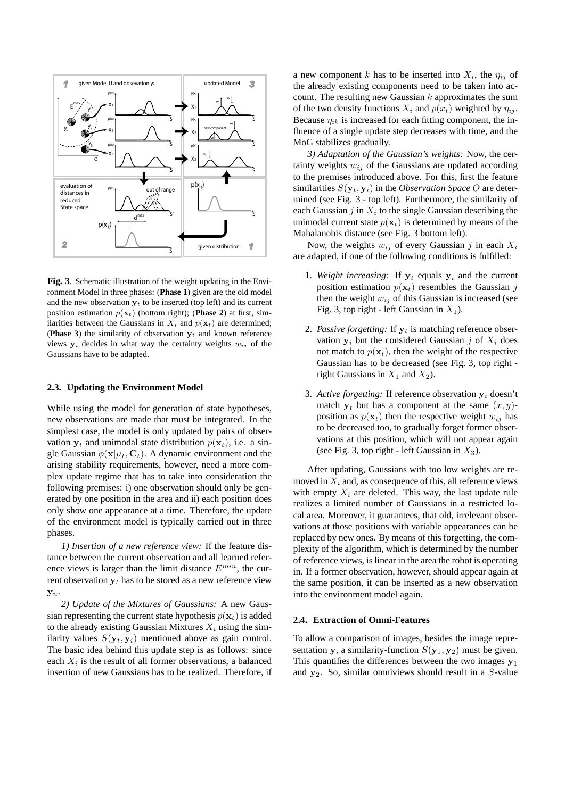

**Fig. 3**. Schematic illustration of the weight updating in the Environment Model in three phases: (**Phase 1**) given are the old model and the new observation  $y_t$  to be inserted (top left) and its current position estimation  $p(\mathbf{x}_t)$  (bottom right); (**Phase 2**) at first, similarities between the Gaussians in  $X_i$  and  $p(\mathbf{x}_t)$  are determined; (**Phase 3**) the similarity of observation  $y_t$  and known reference views  $y_i$  decides in what way the certainty weights  $w_{ij}$  of the Gaussians have to be adapted.

#### **2.3. Updating the Environment Model**

While using the model for generation of state hypotheses, new observations are made that must be integrated. In the simplest case, the model is only updated by pairs of observation  $y_t$  and unimodal state distribution  $p(x_t)$ , i.e. a single Gaussian  $\phi(\mathbf{x}|\mu_t, \mathbf{C}_t)$ . A dynamic environment and the arising stability requirements, however, need a more complex update regime that has to take into consideration the following premises: i) one observation should only be generated by one position in the area and ii) each position does only show one appearance at a time. Therefore, the update of the environment model is typically carried out in three phases.

*1) Insertion of a new reference view:* If the feature distance between the current observation and all learned reference views is larger than the limit distance  $E^{min}$ , the current observation  $y_t$  has to be stored as a new reference view  $\mathbf{y}_n$ .

*2) Update of the Mixtures of Gaussians:* A new Gaussian representing the current state hypothesis  $p(\mathbf{x}_t)$  is added to the already existing Gaussian Mixtures  $X_i$  using the similarity values  $S(\mathbf{y}_t, \mathbf{y}_i)$  mentioned above as gain control. The basic idea behind this update step is as follows: since each  $X_i$  is the result of all former observations, a balanced insertion of new Gaussians has to be realized. Therefore, if

a new component k has to be inserted into  $X_i$ , the  $\eta_{ij}$  of the already existing components need to be taken into account. The resulting new Gaussian  $k$  approximates the sum of the two density functions  $X_i$  and  $p(x_t)$  weighted by  $\eta_{ij}$ . Because  $\eta_{ik}$  is increased for each fitting component, the influence of a single update step decreases with time, and the MoG stabilizes gradually.

*3) Adaptation of the Gaussian's weights:* Now, the certainty weights  $w_{ij}$  of the Gaussians are updated according to the premises introduced above. For this, first the feature similarities  $S(\mathbf{y}_t, \mathbf{y}_i)$  in the *Observation Space O* are determined (see Fig. 3 - top left). Furthermore, the similarity of each Gaussian  $j$  in  $X_i$  to the single Gaussian describing the unimodal current state  $p(\mathbf{x}_t)$  is determined by means of the Mahalanobis distance (see Fig. 3 bottom left).

Now, the weights  $w_{ij}$  of every Gaussian j in each  $X_i$ are adapted, if one of the following conditions is fulfilled:

- 1. Weight increasing: If  $y_t$  equals  $y_i$  and the current position estimation  $p(\mathbf{x}_t)$  resembles the Gaussian j then the weight  $w_{ij}$  of this Gaussian is increased (see Fig. 3, top right - left Gaussian in  $X_1$ ).
- 2. *Passive forgetting:* If  $y_t$  is matching reference observation  $y_i$  but the considered Gaussian j of  $X_i$  does not match to  $p(\mathbf{x}_t)$ , then the weight of the respective Gaussian has to be decreased (see Fig. 3, top right right Gaussians in  $X_1$  and  $X_2$ ).
- 3. Active forgetting: If reference observation  $y_i$  doesn't match  $y_t$  but has a component at the same  $(x, y)$ position as  $p(\mathbf{x}_t)$  then the respective weight  $w_{ij}$  has to be decreased too, to gradually forget former observations at this position, which will not appear again (see Fig. 3, top right - left Gaussian in  $X_3$ ).

After updating, Gaussians with too low weights are removed in  $X_i$  and, as consequence of this, all reference views with empty  $X_i$  are deleted. This way, the last update rule realizes a limited number of Gaussians in a restricted local area. Moreover, it guarantees, that old, irrelevant observations at those positions with variable appearances can be replaced by new ones. By means of this forgetting, the complexity of the algorithm, which is determined by the number of reference views, is linear in the area the robot is operating in. If a former observation, however, should appear again at the same position, it can be inserted as a new observation into the environment model again.

#### **2.4. Extraction of Omni-Features**

To allow a comparison of images, besides the image representation y, a similarity-function  $S(y_1, y_2)$  must be given. This quantifies the differences between the two images  $y_1$ and  $y_2$ . So, similar omniviews should result in a S-value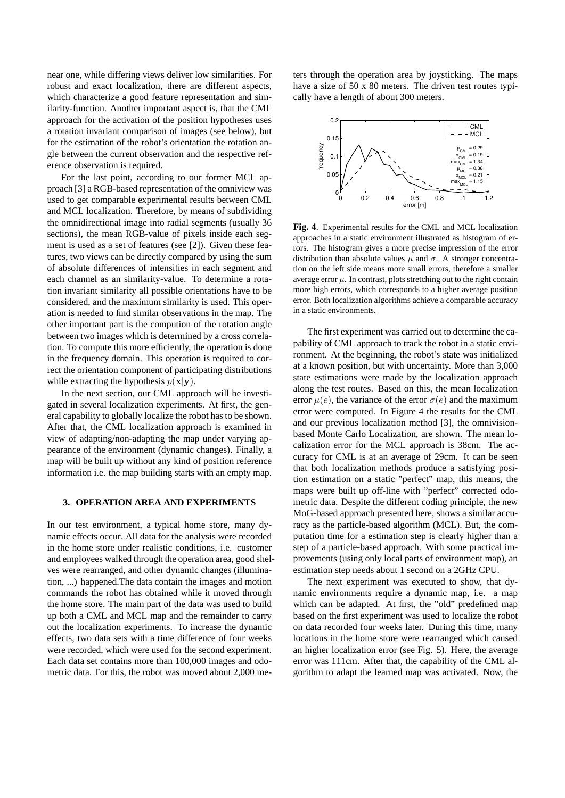near one, while differing views deliver low similarities. For robust and exact localization, there are different aspects, which characterize a good feature representation and similarity-function. Another important aspect is, that the CML approach for the activation of the position hypotheses uses a rotation invariant comparison of images (see below), but for the estimation of the robot's orientation the rotation angle between the current observation and the respective reference observation is required.

For the last point, according to our former MCL approach [3] a RGB-based representation of the omniview was used to get comparable experimental results between CML and MCL localization. Therefore, by means of subdividing the omnidirectional image into radial segments (usually 36 sections), the mean RGB-value of pixels inside each segment is used as a set of features (see [2]). Given these features, two views can be directly compared by using the sum of absolute differences of intensities in each segment and each channel as an similarity-value. To determine a rotation invariant similarity all possible orientations have to be considered, and the maximum similarity is used. This operation is needed to find similar observations in the map. The other important part is the compution of the rotation angle between two images which is determined by a cross correlation. To compute this more efficiently, the operation is done in the frequency domain. This operation is required to correct the orientation component of participating distributions while extracting the hypothesis  $p(\mathbf{x}|\mathbf{y})$ .

In the next section, our CML approach will be investigated in several localization experiments. At first, the general capability to globally localize the robot has to be shown. After that, the CML localization approach is examined in view of adapting/non-adapting the map under varying appearance of the environment (dynamic changes). Finally, a map will be built up without any kind of position reference information i.e. the map building starts with an empty map.

## **3. OPERATION AREA AND EXPERIMENTS**

In our test environment, a typical home store, many dynamic effects occur. All data for the analysis were recorded in the home store under realistic conditions, i.e. customer and employees walked through the operation area, good shelves were rearranged, and other dynamic changes (illumination, ...) happened.The data contain the images and motion commands the robot has obtained while it moved through the home store. The main part of the data was used to build up both a CML and MCL map and the remainder to carry out the localization experiments. To increase the dynamic effects, two data sets with a time difference of four weeks were recorded, which were used for the second experiment. Each data set contains more than 100,000 images and odometric data. For this, the robot was moved about 2,000 meters through the operation area by joysticking. The maps have a size of 50 x 80 meters. The driven test routes typically have a length of about 300 meters.



**Fig. 4**. Experimental results for the CML and MCL localization approaches in a static environment illustrated as histogram of errors. The histogram gives a more precise impression of the error distribution than absolute values  $\mu$  and  $\sigma$ . A stronger concentration on the left side means more small errors, therefore a smaller average error  $\mu$ . In contrast, plots stretching out to the right contain more high errors, which corresponds to a higher average position error. Both localization algorithms achieve a comparable accuracy in a static environments.

The first experiment was carried out to determine the capability of CML approach to track the robot in a static environment. At the beginning, the robot's state was initialized at a known position, but with uncertainty. More than 3,000 state estimations were made by the localization approach along the test routes. Based on this, the mean localization error  $\mu(e)$ , the variance of the error  $\sigma(e)$  and the maximum error were computed. In Figure 4 the results for the CML and our previous localization method [3], the omnivisionbased Monte Carlo Localization, are shown. The mean localization error for the MCL approach is 38cm. The accuracy for CML is at an average of 29cm. It can be seen that both localization methods produce a satisfying position estimation on a static "perfect" map, this means, the maps were built up off-line with "perfect" corrected odometric data. Despite the different coding principle, the new MoG-based approach presented here, shows a similar accuracy as the particle-based algorithm (MCL). But, the computation time for a estimation step is clearly higher than a step of a particle-based approach. With some practical improvements (using only local parts of environment map), an estimation step needs about 1 second on a 2GHz CPU.

The next experiment was executed to show, that dynamic environments require a dynamic map, i.e. a map which can be adapted. At first, the "old" predefined map based on the first experiment was used to localize the robot on data recorded four weeks later. During this time, many locations in the home store were rearranged which caused an higher localization error (see Fig. 5). Here, the average error was 111cm. After that, the capability of the CML algorithm to adapt the learned map was activated. Now, the